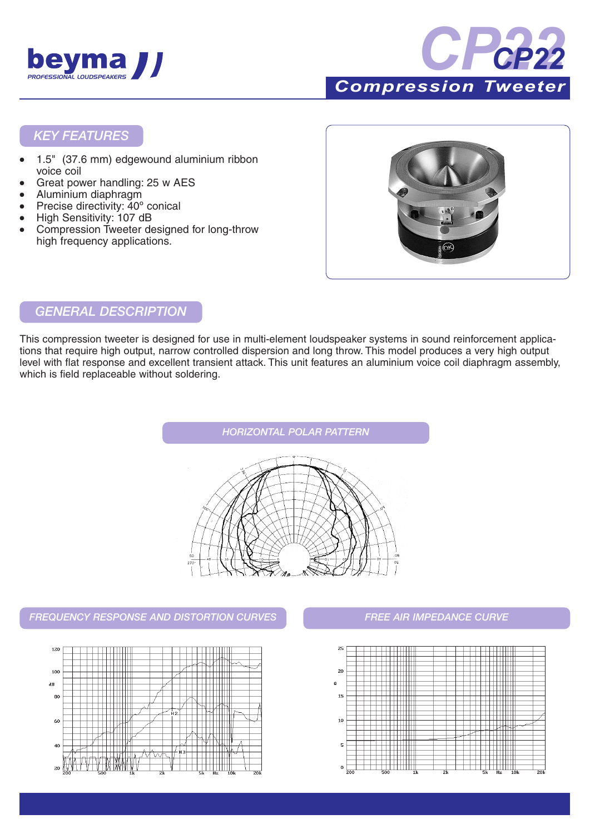



 **Tweeter** 

#### *KEY FEATURES*

- 1.5" (37.6 mm) edgewound aluminium ribbon voice coil
- Great power handling: 25 w AES
- Aluminium diaphragm
- Precise directivity: 40° conical
- High Sensitivity: 107 dB
- Compression Tweeter designed for long-throw high frequency applications.



#### *GENERAL DESCRIPTION*

This compression tweeter is designed for use in multi-element loudspeaker systems in sound reinforcement applications that require high output, narrow controlled dispersion and long throw. This model produces a very high output level with flat response and excellent transient attack. This unit features an aluminium voice coil diaphragm assembly, which is field replaceable without soldering.



#### *FREQUENCY RESPONSE AND DISTORTION CURVES FREE AIR IMPEDANCE CURVE*